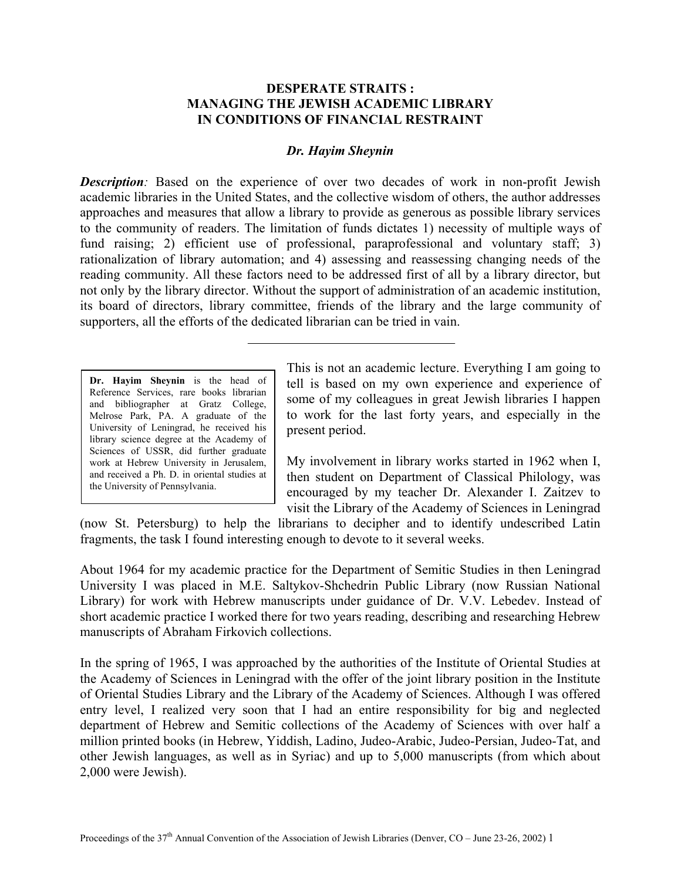## **DESPERATE STRAITS : MANAGING THE JEWISH ACADEMIC LIBRARY IN CONDITIONS OF FINANCIAL RESTRAINT**

## *Dr. Hayim Sheynin*

*Description:* Based on the experience of over two decades of work in non-profit Jewish academic libraries in the United States, and the collective wisdom of others, the author addresses approaches and measures that allow a library to provide as generous as possible library services to the community of readers. The limitation of funds dictates 1) necessity of multiple ways of fund raising; 2) efficient use of professional, paraprofessional and voluntary staff: 3) rationalization of library automation; and 4) assessing and reassessing changing needs of the reading community. All these factors need to be addressed first of all by a library director, but not only by the library director. Without the support of administration of an academic institution, its board of directors, library committee, friends of the library and the large community of supporters, all the efforts of the dedicated librarian can be tried in vain.

**Dr. Hayim Sheynin** is the head of Reference Services, rare books librarian and bibliographer at Gratz College, Melrose Park, PA. A graduate of the University of Leningrad, he received his library science degree at the Academy of Sciences of USSR, did further graduate work at Hebrew University in Jerusalem, and received a Ph. D. in oriental studies at the University of Pennsylvania.

This is not an academic lecture. Everything I am going to tell is based on my own experience and experience of some of my colleagues in great Jewish libraries I happen to work for the last forty years, and especially in the present period.

My involvement in library works started in 1962 when I, then student on Department of Classical Philology, was encouraged by my teacher Dr. Alexander I. Zaitzev to visit the Library of the Academy of Sciences in Leningrad

(now St. Petersburg) to help the librarians to decipher and to identify undescribed Latin fragments, the task I found interesting enough to devote to it several weeks.

About 1964 for my academic practice for the Department of Semitic Studies in then Leningrad University I was placed in M.E. Saltykov-Shchedrin Public Library (now Russian National Library) for work with Hebrew manuscripts under guidance of Dr. V.V. Lebedev. Instead of short academic practice I worked there for two years reading, describing and researching Hebrew manuscripts of Abraham Firkovich collections.

In the spring of 1965, I was approached by the authorities of the Institute of Oriental Studies at the Academy of Sciences in Leningrad with the offer of the joint library position in the Institute of Oriental Studies Library and the Library of the Academy of Sciences. Although I was offered entry level, I realized very soon that I had an entire responsibility for big and neglected department of Hebrew and Semitic collections of the Academy of Sciences with over half a million printed books (in Hebrew, Yiddish, Ladino, Judeo-Arabic, Judeo-Persian, Judeo-Tat, and other Jewish languages, as well as in Syriac) and up to 5,000 manuscripts (from which about 2,000 were Jewish).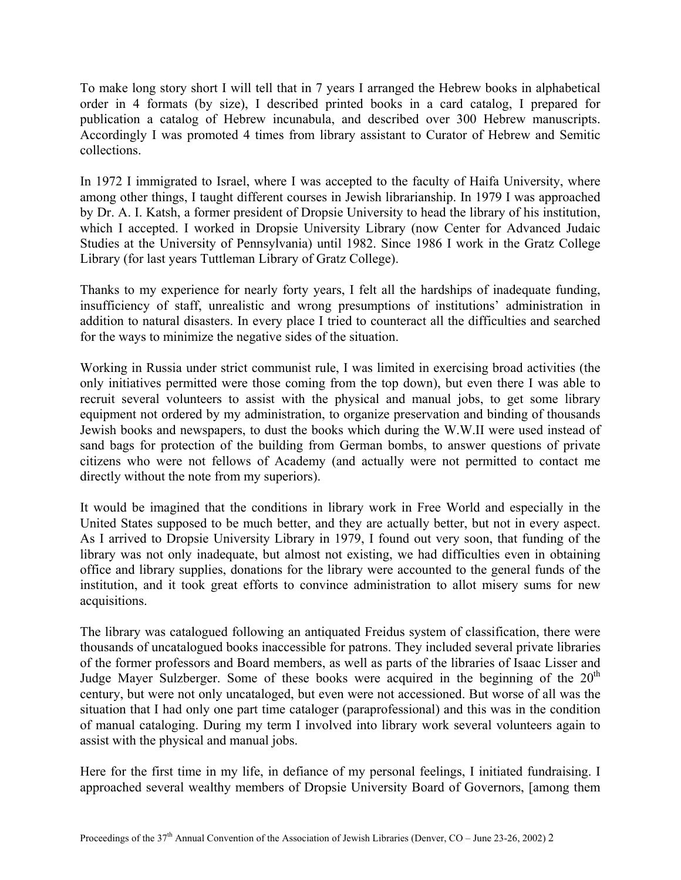To make long story short I will tell that in 7 years I arranged the Hebrew books in alphabetical order in 4 formats (by size), I described printed books in a card catalog, I prepared for publication a catalog of Hebrew incunabula, and described over 300 Hebrew manuscripts. Accordingly I was promoted 4 times from library assistant to Curator of Hebrew and Semitic collections.

In 1972 I immigrated to Israel, where I was accepted to the faculty of Haifa University, where among other things, I taught different courses in Jewish librarianship. In 1979 I was approached by Dr. A. I. Katsh, a former president of Dropsie University to head the library of his institution, which I accepted. I worked in Dropsie University Library (now Center for Advanced Judaic Studies at the University of Pennsylvania) until 1982. Since 1986 I work in the Gratz College Library (for last years Tuttleman Library of Gratz College).

Thanks to my experience for nearly forty years, I felt all the hardships of inadequate funding, insufficiency of staff, unrealistic and wrong presumptions of institutions' administration in addition to natural disasters. In every place I tried to counteract all the difficulties and searched for the ways to minimize the negative sides of the situation.

Working in Russia under strict communist rule, I was limited in exercising broad activities (the only initiatives permitted were those coming from the top down), but even there I was able to recruit several volunteers to assist with the physical and manual jobs, to get some library equipment not ordered by my administration, to organize preservation and binding of thousands Jewish books and newspapers, to dust the books which during the W.W.II were used instead of sand bags for protection of the building from German bombs, to answer questions of private citizens who were not fellows of Academy (and actually were not permitted to contact me directly without the note from my superiors).

It would be imagined that the conditions in library work in Free World and especially in the United States supposed to be much better, and they are actually better, but not in every aspect. As I arrived to Dropsie University Library in 1979, I found out very soon, that funding of the library was not only inadequate, but almost not existing, we had difficulties even in obtaining office and library supplies, donations for the library were accounted to the general funds of the institution, and it took great efforts to convince administration to allot misery sums for new acquisitions.

The library was catalogued following an antiquated Freidus system of classification, there were thousands of uncatalogued books inaccessible for patrons. They included several private libraries of the former professors and Board members, as well as parts of the libraries of Isaac Lisser and Judge Mayer Sulzberger. Some of these books were acquired in the beginning of the  $20<sup>th</sup>$ century, but were not only uncataloged, but even were not accessioned. But worse of all was the situation that I had only one part time cataloger (paraprofessional) and this was in the condition of manual cataloging. During my term I involved into library work several volunteers again to assist with the physical and manual jobs.

Here for the first time in my life, in defiance of my personal feelings, I initiated fundraising. I approached several wealthy members of Dropsie University Board of Governors, [among them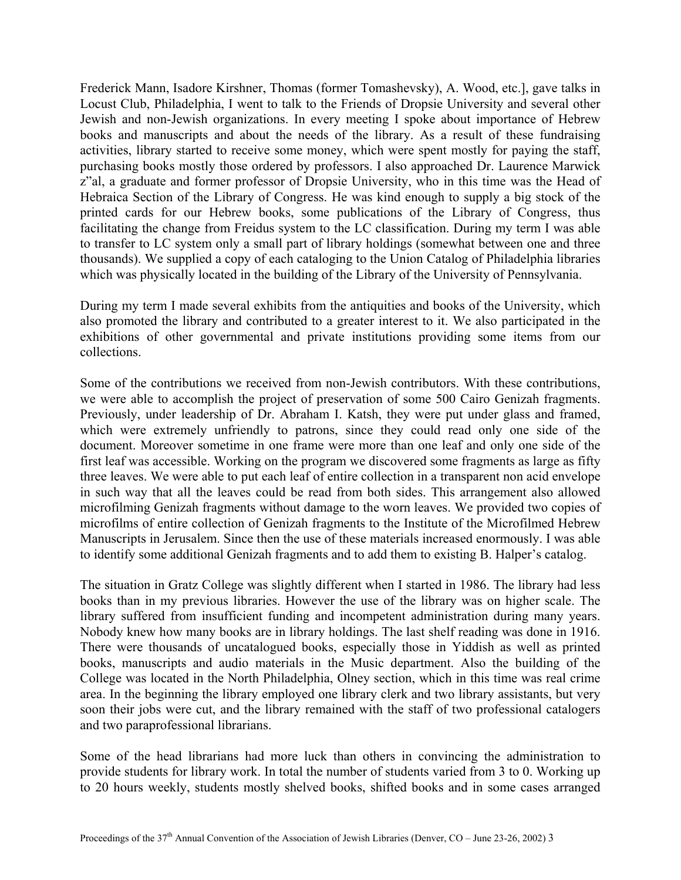Frederick Mann, Isadore Kirshner, Thomas (former Tomashevsky), A. Wood, etc.], gave talks in Locust Club, Philadelphia, I went to talk to the Friends of Dropsie University and several other Jewish and non-Jewish organizations. In every meeting I spoke about importance of Hebrew books and manuscripts and about the needs of the library. As a result of these fundraising activities, library started to receive some money, which were spent mostly for paying the staff, purchasing books mostly those ordered by professors. I also approached Dr. Laurence Marwick z"al, a graduate and former professor of Dropsie University, who in this time was the Head of Hebraica Section of the Library of Congress. He was kind enough to supply a big stock of the printed cards for our Hebrew books, some publications of the Library of Congress, thus facilitating the change from Freidus system to the LC classification. During my term I was able to transfer to LC system only a small part of library holdings (somewhat between one and three thousands). We supplied a copy of each cataloging to the Union Catalog of Philadelphia libraries which was physically located in the building of the Library of the University of Pennsylvania.

During my term I made several exhibits from the antiquities and books of the University, which also promoted the library and contributed to a greater interest to it. We also participated in the exhibitions of other governmental and private institutions providing some items from our collections.

Some of the contributions we received from non-Jewish contributors. With these contributions, we were able to accomplish the project of preservation of some 500 Cairo Genizah fragments. Previously, under leadership of Dr. Abraham I. Katsh, they were put under glass and framed, which were extremely unfriendly to patrons, since they could read only one side of the document. Moreover sometime in one frame were more than one leaf and only one side of the first leaf was accessible. Working on the program we discovered some fragments as large as fifty three leaves. We were able to put each leaf of entire collection in a transparent non acid envelope in such way that all the leaves could be read from both sides. This arrangement also allowed microfilming Genizah fragments without damage to the worn leaves. We provided two copies of microfilms of entire collection of Genizah fragments to the Institute of the Microfilmed Hebrew Manuscripts in Jerusalem. Since then the use of these materials increased enormously. I was able to identify some additional Genizah fragments and to add them to existing B. Halper's catalog.

The situation in Gratz College was slightly different when I started in 1986. The library had less books than in my previous libraries. However the use of the library was on higher scale. The library suffered from insufficient funding and incompetent administration during many years. Nobody knew how many books are in library holdings. The last shelf reading was done in 1916. There were thousands of uncatalogued books, especially those in Yiddish as well as printed books, manuscripts and audio materials in the Music department. Also the building of the College was located in the North Philadelphia, Olney section, which in this time was real crime area. In the beginning the library employed one library clerk and two library assistants, but very soon their jobs were cut, and the library remained with the staff of two professional catalogers and two paraprofessional librarians.

Some of the head librarians had more luck than others in convincing the administration to provide students for library work. In total the number of students varied from 3 to 0. Working up to 20 hours weekly, students mostly shelved books, shifted books and in some cases arranged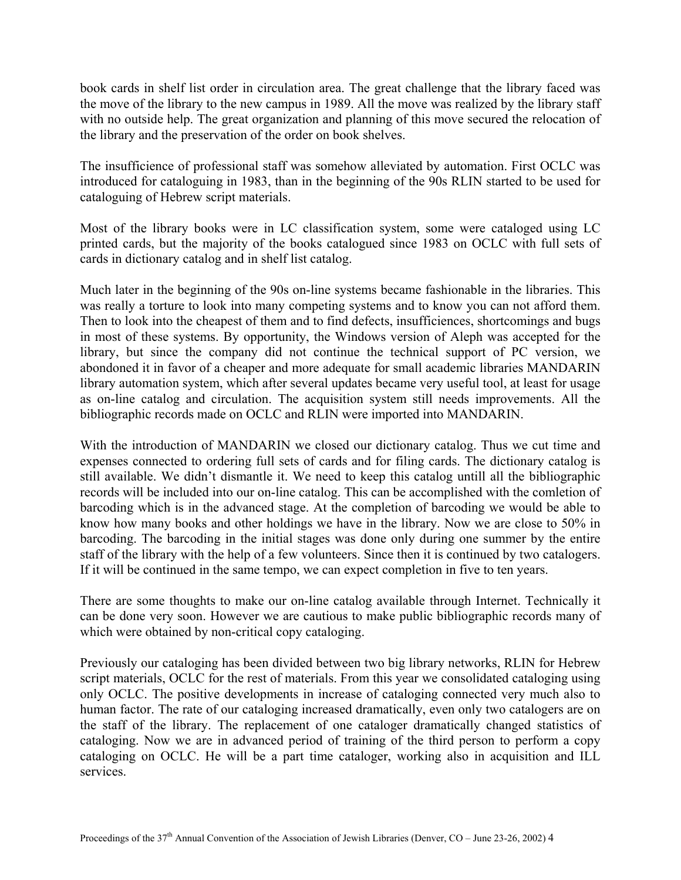book cards in shelf list order in circulation area. The great challenge that the library faced was the move of the library to the new campus in 1989. All the move was realized by the library staff with no outside help. The great organization and planning of this move secured the relocation of the library and the preservation of the order on book shelves.

The insufficience of professional staff was somehow alleviated by automation. First OCLC was introduced for cataloguing in 1983, than in the beginning of the 90s RLIN started to be used for cataloguing of Hebrew script materials.

Most of the library books were in LC classification system, some were cataloged using LC printed cards, but the majority of the books catalogued since 1983 on OCLC with full sets of cards in dictionary catalog and in shelf list catalog.

Much later in the beginning of the 90s on-line systems became fashionable in the libraries. This was really a torture to look into many competing systems and to know you can not afford them. Then to look into the cheapest of them and to find defects, insufficiences, shortcomings and bugs in most of these systems. By opportunity, the Windows version of Aleph was accepted for the library, but since the company did not continue the technical support of PC version, we abondoned it in favor of a cheaper and more adequate for small academic libraries MANDARIN library automation system, which after several updates became very useful tool, at least for usage as on-line catalog and circulation. The acquisition system still needs improvements. All the bibliographic records made on OCLC and RLIN were imported into MANDARIN.

With the introduction of MANDARIN we closed our dictionary catalog. Thus we cut time and expenses connected to ordering full sets of cards and for filing cards. The dictionary catalog is still available. We didn't dismantle it. We need to keep this catalog untill all the bibliographic records will be included into our on-line catalog. This can be accomplished with the comletion of barcoding which is in the advanced stage. At the completion of barcoding we would be able to know how many books and other holdings we have in the library. Now we are close to 50% in barcoding. The barcoding in the initial stages was done only during one summer by the entire staff of the library with the help of a few volunteers. Since then it is continued by two catalogers. If it will be continued in the same tempo, we can expect completion in five to ten years.

There are some thoughts to make our on-line catalog available through Internet. Technically it can be done very soon. However we are cautious to make public bibliographic records many of which were obtained by non-critical copy cataloging.

Previously our cataloging has been divided between two big library networks, RLIN for Hebrew script materials, OCLC for the rest of materials. From this year we consolidated cataloging using only OCLC. The positive developments in increase of cataloging connected very much also to human factor. The rate of our cataloging increased dramatically, even only two catalogers are on the staff of the library. The replacement of one cataloger dramatically changed statistics of cataloging. Now we are in advanced period of training of the third person to perform a copy cataloging on OCLC. He will be a part time cataloger, working also in acquisition and ILL services.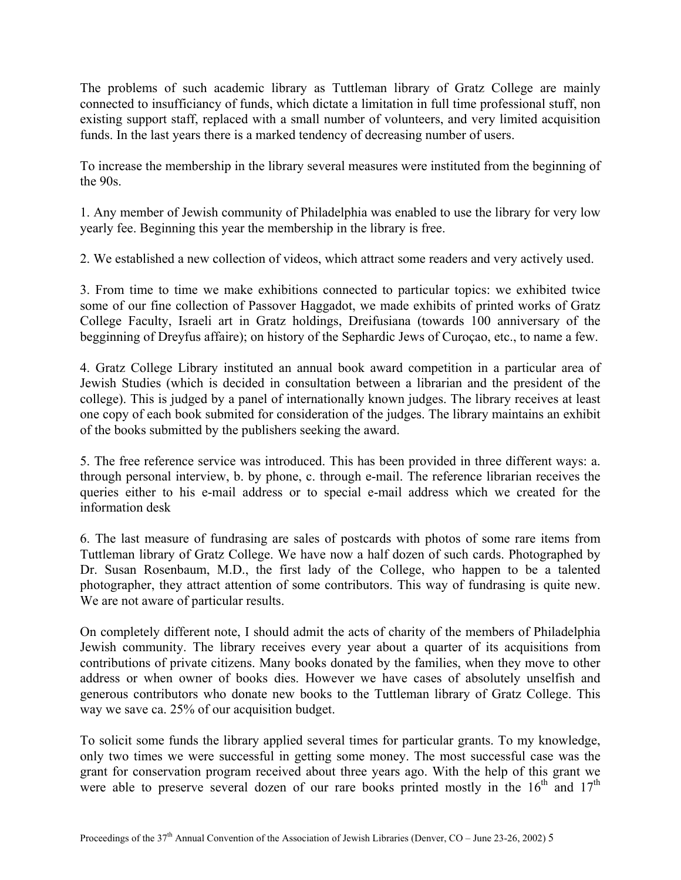The problems of such academic library as Tuttleman library of Gratz College are mainly connected to insufficiancy of funds, which dictate a limitation in full time professional stuff, non existing support staff, replaced with a small number of volunteers, and very limited acquisition funds. In the last years there is a marked tendency of decreasing number of users.

To increase the membership in the library several measures were instituted from the beginning of the 90s.

1. Any member of Jewish community of Philadelphia was enabled to use the library for very low yearly fee. Beginning this year the membership in the library is free.

2. We established a new collection of videos, which attract some readers and very actively used.

3. From time to time we make exhibitions connected to particular topics: we exhibited twice some of our fine collection of Passover Haggadot, we made exhibits of printed works of Gratz College Faculty, Israeli art in Gratz holdings, Dreifusiana (towards 100 anniversary of the begginning of Dreyfus affaire); on history of the Sephardic Jews of Curoçao, etc., to name a few.

4. Gratz College Library instituted an annual book award competition in a particular area of Jewish Studies (which is decided in consultation between a librarian and the president of the college). This is judged by a panel of internationally known judges. The library receives at least one copy of each book submited for consideration of the judges. The library maintains an exhibit of the books submitted by the publishers seeking the award.

5. The free reference service was introduced. This has been provided in three different ways: a. through personal interview, b. by phone, c. through e-mail. The reference librarian receives the queries either to his e-mail address or to special e-mail address which we created for the information desk

6. The last measure of fundrasing are sales of postcards with photos of some rare items from Tuttleman library of Gratz College. We have now a half dozen of such cards. Photographed by Dr. Susan Rosenbaum, M.D., the first lady of the College, who happen to be a talented photographer, they attract attention of some contributors. This way of fundrasing is quite new. We are not aware of particular results.

On completely different note, I should admit the acts of charity of the members of Philadelphia Jewish community. The library receives every year about a quarter of its acquisitions from contributions of private citizens. Many books donated by the families, when they move to other address or when owner of books dies. However we have cases of absolutely unselfish and generous contributors who donate new books to the Tuttleman library of Gratz College. This way we save ca. 25% of our acquisition budget.

To solicit some funds the library applied several times for particular grants. To my knowledge, only two times we were successful in getting some money. The most successful case was the grant for conservation program received about three years ago. With the help of this grant we were able to preserve several dozen of our rare books printed mostly in the  $16<sup>th</sup>$  and  $17<sup>th</sup>$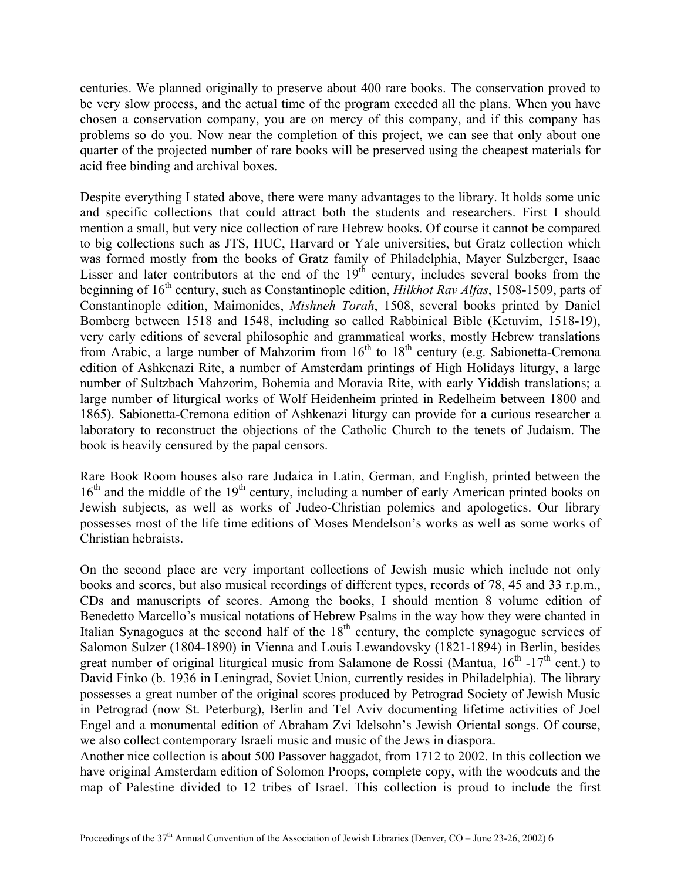centuries. We planned originally to preserve about 400 rare books. The conservation proved to be very slow process, and the actual time of the program exceded all the plans. When you have chosen a conservation company, you are on mercy of this company, and if this company has problems so do you. Now near the completion of this project, we can see that only about one quarter of the projected number of rare books will be preserved using the cheapest materials for acid free binding and archival boxes.

Despite everything I stated above, there were many advantages to the library. It holds some unic and specific collections that could attract both the students and researchers. First I should mention a small, but very nice collection of rare Hebrew books. Of course it cannot be compared to big collections such as JTS, HUC, Harvard or Yale universities, but Gratz collection which was formed mostly from the books of Gratz family of Philadelphia, Mayer Sulzberger, Isaac Lisser and later contributors at the end of the  $19<sup>th</sup>$  century, includes several books from the beginning of 16th century, such as Constantinople edition, *Hilkhot Rav Alfas*, 1508-1509, parts of Constantinople edition, Maimonides, *Mishneh Torah*, 1508, several books printed by Daniel Bomberg between 1518 and 1548, including so called Rabbinical Bible (Ketuvim, 1518-19), very early editions of several philosophic and grammatical works, mostly Hebrew translations from Arabic, a large number of Mahzorim from  $16<sup>th</sup>$  to  $18<sup>th</sup>$  century (e.g. Sabionetta-Cremona edition of Ashkenazi Rite, a number of Amsterdam printings of High Holidays liturgy, a large number of Sultzbach Mahzorim, Bohemia and Moravia Rite, with early Yiddish translations; a large number of liturgical works of Wolf Heidenheim printed in Redelheim between 1800 and 1865). Sabionetta-Cremona edition of Ashkenazi liturgy can provide for a curious researcher a laboratory to reconstruct the objections of the Catholic Church to the tenets of Judaism. The book is heavily censured by the papal censors.

Rare Book Room houses also rare Judaica in Latin, German, and English, printed between the 16<sup>th</sup> and the middle of the 19<sup>th</sup> century, including a number of early American printed books on Jewish subjects, as well as works of Judeo-Christian polemics and apologetics. Our library possesses most of the life time editions of Moses Mendelson's works as well as some works of Christian hebraists.

On the second place are very important collections of Jewish music which include not only books and scores, but also musical recordings of different types, records of 78, 45 and 33 r.p.m., CDs and manuscripts of scores. Among the books, I should mention 8 volume edition of Benedetto Marcello's musical notations of Hebrew Psalms in the way how they were chanted in Italian Synagogues at the second half of the 18<sup>th</sup> century, the complete synagogue services of Salomon Sulzer (1804-1890) in Vienna and Louis Lewandovsky (1821-1894) in Berlin, besides great number of original liturgical music from Salamone de Rossi (Mantua,  $16<sup>th</sup> -17<sup>th</sup>$  cent.) to David Finko (b. 1936 in Leningrad, Soviet Union, currently resides in Philadelphia). The library possesses a great number of the original scores produced by Petrograd Society of Jewish Music in Petrograd (now St. Peterburg), Berlin and Tel Aviv documenting lifetime activities of Joel Engel and a monumental edition of Abraham Zvi Idelsohn's Jewish Oriental songs. Of course, we also collect contemporary Israeli music and music of the Jews in diaspora.

Another nice collection is about 500 Passover haggadot, from 1712 to 2002. In this collection we have original Amsterdam edition of Solomon Proops, complete copy, with the woodcuts and the map of Palestine divided to 12 tribes of Israel. This collection is proud to include the first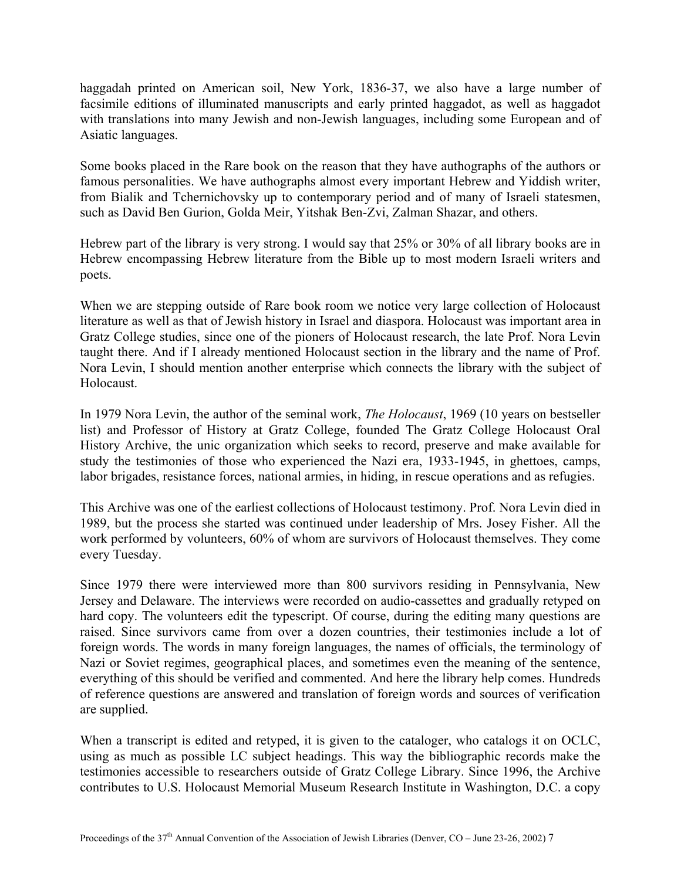haggadah printed on American soil, New York, 1836-37, we also have a large number of facsimile editions of illuminated manuscripts and early printed haggadot, as well as haggadot with translations into many Jewish and non-Jewish languages, including some European and of Asiatic languages.

Some books placed in the Rare book on the reason that they have authographs of the authors or famous personalities. We have authographs almost every important Hebrew and Yiddish writer, from Bialik and Tchernichovsky up to contemporary period and of many of Israeli statesmen, such as David Ben Gurion, Golda Meir, Yitshak Ben-Zvi, Zalman Shazar, and others.

Hebrew part of the library is very strong. I would say that 25% or 30% of all library books are in Hebrew encompassing Hebrew literature from the Bible up to most modern Israeli writers and poets.

When we are stepping outside of Rare book room we notice very large collection of Holocaust literature as well as that of Jewish history in Israel and diaspora. Holocaust was important area in Gratz College studies, since one of the pioners of Holocaust research, the late Prof. Nora Levin taught there. And if I already mentioned Holocaust section in the library and the name of Prof. Nora Levin, I should mention another enterprise which connects the library with the subject of **Holocaust** 

In 1979 Nora Levin, the author of the seminal work, *The Holocaust*, 1969 (10 years on bestseller list) and Professor of History at Gratz College, founded The Gratz College Holocaust Oral History Archive, the unic organization which seeks to record, preserve and make available for study the testimonies of those who experienced the Nazi era, 1933-1945, in ghettoes, camps, labor brigades, resistance forces, national armies, in hiding, in rescue operations and as refugies.

This Archive was one of the earliest collections of Holocaust testimony. Prof. Nora Levin died in 1989, but the process she started was continued under leadership of Mrs. Josey Fisher. All the work performed by volunteers, 60% of whom are survivors of Holocaust themselves. They come every Tuesday.

Since 1979 there were interviewed more than 800 survivors residing in Pennsylvania, New Jersey and Delaware. The interviews were recorded on audio-cassettes and gradually retyped on hard copy. The volunteers edit the typescript. Of course, during the editing many questions are raised. Since survivors came from over a dozen countries, their testimonies include a lot of foreign words. The words in many foreign languages, the names of officials, the terminology of Nazi or Soviet regimes, geographical places, and sometimes even the meaning of the sentence, everything of this should be verified and commented. And here the library help comes. Hundreds of reference questions are answered and translation of foreign words and sources of verification are supplied.

When a transcript is edited and retyped, it is given to the cataloger, who catalogs it on OCLC, using as much as possible LC subject headings. This way the bibliographic records make the testimonies accessible to researchers outside of Gratz College Library. Since 1996, the Archive contributes to U.S. Holocaust Memorial Museum Research Institute in Washington, D.C. a copy